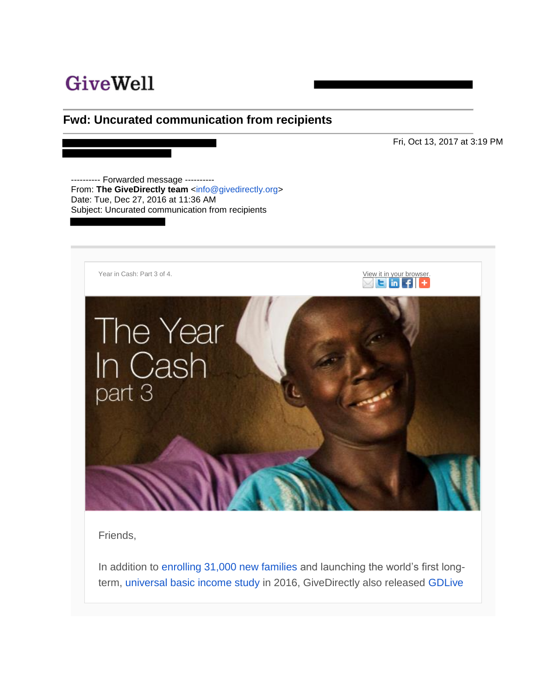# **GiveWell**

### **Fwd: Uncurated communication from recipients**

Fri, Oct 13, 2017 at 3:19 PM

---------- Forwarded message ---------- From: **The GiveDirectly team** [<info@givedirectly.org>](mailto:info@givedirectly.org) Date: Tue, Dec 27, 2016 at 11:36 AM Subject: Uncurated communication from recipients



Friends,

In addition to [enrolling 31,000 new families](http://go.pardot.com/e/209742/-2016EmailYC3-utm-medium-Email/k7zt/18115266) and launching the world's first longterm, [universal basic income study](http://go.pardot.com/e/209742/-2016EmailYC3-utm-medium-Email/k7zw/18115266) in 2016, GiveDirectly also released [GDLive](http://go.pardot.com/e/209742/-2016EmailYC3-utm-medium-Email/k7zy/18115266)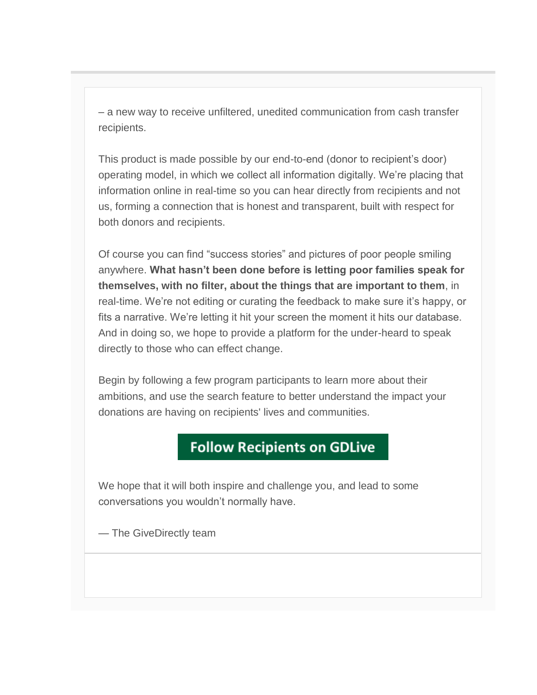– a new way to receive unfiltered, unedited communication from cash transfer recipients.

This product is made possible by our end-to-end (donor to recipient's door) operating model, in which we collect all information digitally. We're placing that information online in real-time so you can hear directly from recipients and not us, forming a connection that is honest and transparent, built with respect for both donors and recipients.

Of course you can find "success stories" and pictures of poor people smiling anywhere. **What hasn't been done before is letting poor families speak for themselves, with no filter, about the things that are important to them**, in real-time. We're not editing or curating the feedback to make sure it's happy, or fits a narrative. We're letting it hit your screen the moment it hits our database. And in doing so, we hope to provide a platform for the under-heard to speak directly to those who can effect change.

Begin by following a few program participants to learn more about their ambitions, and use the search feature to better understand the impact your donations are having on recipients' lives and communities.

## **Follow Recipients on GDLive**

We hope that it will both inspire and challenge you, and lead to some conversations you wouldn't normally have.

— The GiveDirectly team